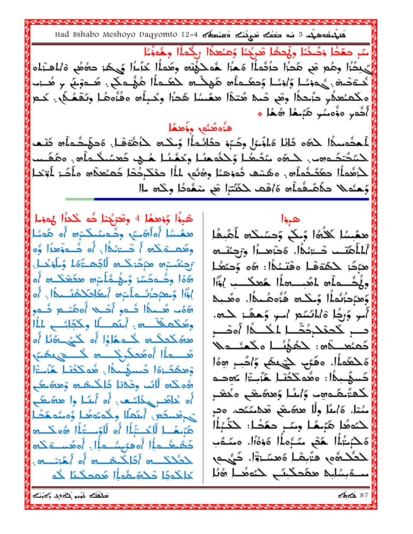Had Bshabo Meshoyo Daqyomto 12-4 xh تَسْتَعْمَ بَسْتَ بَعْدُ بَسْتَ مَعْهُمْ بَسْتَ بِهِ بَسْتَ بِهِ بَسْتِهِ

مِّم حمَّحًا وَحَبَّدُا وِلْحَمَّا مْدِجُنَا وَهِنُعِدًا رِجُّماًا وِهُوَزُنَا وْلِيَـٰفِذُا وِهُم هُـ هَٰدُا هَادُهُمْ الْمَمْحُولَة وَهُدَاً كَنَّمَا وَهُجَاءَ هُمْ وَالْمَسْتَو لَحْـتَوْصَرْهَ . كُـحَوْصُـل وَاوْصُـلْ مِ هَـحْمَـلُهُ مَا هُـمُّـمِـمْ . هَــوْمِـمُ بِ هُــتِ مكْعِنْعِدِّمْ حَبَّىحِدًا وقي صْحْ هُتِدًا هِمُسُلٍّ هَجْرًا وِكْبِلُهِ مِفْتُوعًا وِنَقْمُكُنَّ. كَتَم أَثْقُم وَوْدَسُو هُزُمَهُا شُهُا ﴾

## فأوقُثُم ووُهمًا

لْمَحَْمِىمُا ۖ كَلَّهُ ۚ ذَٰلِنًا ۚ مَٰلَؤُمُوْلَ وِحَـٰٓءٍ ۚ حَثَانُـهِ أَا وُحْكَـٰهَ ۚ وَحَدَّثَ وَالْقَصَ لكِنَكْتِكُدەت. لكِنَة مَكْتَفْطَ وُلِكْدَهْلَا وِكَعْبَتْنَا هُـنِي كَعِنْبَىكُـدَاْنْ. دَكَفَـيت لْمُعْمَلُا حِعَضُخُولُه . وهُسْف خُوهِمْا وهُنُو، لمأا حِنْكُرِحُحْا حُمِنُعِدْهِ ولَمَحْهِ لَمُوْتَحا وَحِمْدِهِ حَكْضَفُهِ أَنْ وَافْعِ حَكْتُبًا مْعِ سْغُودًا وِحْدِهِ عَلَّا

شَرْدًا وَدَهِهُا 4 وِتَعْرَجُنَا حُم كَحَدًا لِهِ دِمَا همُّسُا أَهلُّهُــِّي وضُّهسُكْتِرْهِ أَه هَمْـُـا ومَكْتُ مَا أَحْسَنِكُمَا . أَو خُصْوَهِ أَوْ وَ رْجِئْنُتِ هُ هَرَجَزَتْكُ وَالْجُعَتَ وَالْوَجْعَاءِ هَهُا وِضُـوصَٰمَٰ; وُمِحُـفَلَمْ و هکَعْنَــْد أَه إِنَّهُا وُحِدَدَتُكُمْ وَمِنَ أَحْدَادَكُمُتَــٰهَا . أَه هَٰهٗت مَّـــدًّا شَــهو أَشْــلا أُههَّنَــمْ شَــهو وهُكْمِيْكُ مِنْ أَسَمِيْكَمَا وِكَذَابَ لِمَاْ مَتَمَكَّدَكُ، كَتْتَمَعَّارُا أَوْ كَيْنَ وَمَا أَوْ وْهِهُكُوْهَ الصَّيْمُالِ هُوجُكْتُلا هُزْتْ رَّەْهِ كُلُّ وَحْمَلْ كَالْحُبْصُرُ وْمِرْهُ بِكُلِّ أَه خُلِّصُبِي حُلِّصَةٍ. أَه أَسْلَمْ وا هِدَهَ حَكَم ج وهسطُم . أَسَكْنَا وحُدْدَهُمَا وُدَسُدَهَكُمْ كَبُرْهُما لَاجْتُ أَوْلَ أَنْ لَادُوْسَتُوْلًا رَقُوحُكُمُونَ كَتْݣُمْتُــمِلَا أُوقِهُمْــولَا. أُومَّىـــوْلَا. للطُّلْكِ ۞ أَجَلَّكُمْ ۞ أَي أَجَّزْتِ ۞ . كالكودًا مْحْشَمْهُا مُعجِبْنَا كُمْ

هرؤا همَّسُا كَلاُهُا وُلِّكَ وَحسَّلَاه لِمُبْقُا ٱلْمُلَّصَّب حَــــٰ:بَكْلُ هَجْهَــٰهُ وَرَجِئْنَــهِ هِرَجَا لِحَمَّةِهَا وَقَتْبُدًا: 6ه وَحَمَّعُا ويُدَّــداْه لمعْـــهاْ مَعكَــب إِذْا وَهرَجُزُتُماُ! وُحْكِمِ فُزُوهُحِماً!. ومُحِبِهِ أَمِرٍ وَرَجًا ةَالمَنَنَّمَ امِرٍ وَحَقَّۃٍ كَــْهِ. حب كَحْدْكِرْحُثْكَ لِمَكْكُلُّ أُوصْحِ كَعْنُعْكُمْ: حَمُّهُنُّطْ مَكْعَنَّدِهَا هُكْتُمَاًا. دَفَّتُ كَيْبَيْضُ وَٱضَـٰرِ هِءَٰا كَسِمُّجِمًا: وَهُوَخَدْتُنَا هُزَّبِـتْزَا مُوجَد لكَفَتُمِكُمُوتَ وَٱسْلَ وَهُدَهُ هُبَ وَيُحَفَّرِ مْتَا. هَ/مْلَا وِلَا هِجَمْعْ هُدْمَّمَّتْ. ەدر لأَعْمَاهُمْ الْمُبْسَمَا وَسَمَّ حَقَصًا: لِكَثَّبِهُ هُكْبُتُٰهَا هُتَّى مُتَّبُّوهَاْ وَوْوَٰاْ. وَمُتَّقَب لحثَكْشُور فتُبِصْلِ هُمِسُتَوْتًا. كَنُبِيهِ مىگېئىلىك ھەككېئى كەھل ھائا

بناوأبلا باء أنكم بالم بنافع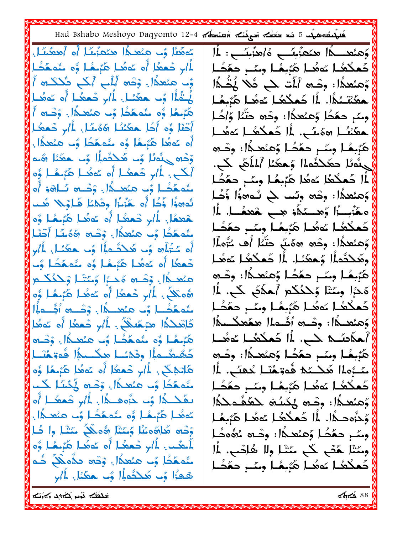Had Bshabo Meshoyo Daqyomto 12-4 ملحلة مَ مَعْبُدُ + Had Bshabo Meshoyo Daqyomto 12-4

عَمَعُنَا وَ حَنُعِيمًا مِتَعَزَّمَنَا أَه أَمِعَمَنَا. لْمَابِ شَعْفًا أَوْ عَوْضًا هَبُيْعًا وُو سُوَعَّهُا أ وً۔ هنُعدًا. وَدْهِ أَلَم أَكَى ثَكْلُهِ أَ لْمَتْمَلًا وَجِبَ بِمَعْنَانِ لِمَّاتٍ تَحْفَظُ أَنْ يَدْفُطْ هُرُهُا وُهِ شَهَهُمُ وُبِ هِنُعِيدًا. وَشَعَهُ أَ أَحْتَلَ وَۚ أَحُلَّ حَعَيْنُـلَّ وَوَجَعَلَـٰ. لَمَّابِ حَحَقُـلَّ أَه عَاهُدا هَبُـمُا وَه مُنْهَمَّكُا وًب هنُعَدًا!. وْدُهِ بِمُثَالَ وَبِ هَٰكُمُواْ وَبِ هِعَمَّا هُء أَكَّبِ. لَمَا وَ هَعَمُدَا أَو عَوَضًا هَبْسُمَا وَو مْتَمَعُطُ وُبِ هِنْعَنِيْهِ وَشَبْهِ يَسَارُوْنَ أَن لَهُودُا ذُكُلُّ أَو هُنْدُا وَشَمْئًا هَٰارْدًا هُدَا اللَّهُ لِمُعْمَلَ لَمَ يُرِ دُمْعَهُ أَوْ يُوهُمَا هَٰزُهُمَا وُو مْتَمَعَّطُ وُبِ مَنْعَدًا. وْشَرْهِ رَهُمْنَنَا أَتَبْنَا أَه حُتُلُه وً مُحْكُماً! وً حَقَّلًا. أَب تْعَمَدُا أَو حُومُا هَٰٓبُعُا وُو حُوجُكَا وَبَ هنعكال وْشْدَه مْحَبّْلْ مِّنْتْنَا وْحَكْكُتْمْ رَّةُوَيْكُلُّ ـ أَابِرٍ شَعْعُدًا أَوْ غَوْهُمْ كَرَّسُمْ أَوُو مِنْعِمْجُهَا وُبِ عِنْعِهِ وَإِنَّ وَجْهِدِهِ أَفِّيعَةً لَ كَاتْعَكْدًا مِرْهُبِيْتَ . لَمْ ي شَعْجُل أَه عَمْدًا هَٰزُهَا وُهِ مُعَهَّدًا وُبِ هِنْعَهُ!. وَحْدِهِ حَدَّمَعْكُما وَدْمُهُا مِكْسِمًا فَوتِهُهُا هَاتِهِكَى. لَمَاسٍ شَعْعُلَ أَو عَوْمًا هَبُنْهَا وُو مَنْمَهُمَا وُبِ مَنْعَـٰهَا. وْتَـٰهَ يَكْسًا كَـٰب بْفَكْــدًا وُبْ جَرُّهِ صَـدًا. لَمْ/مِ تَـمْعُــل أَهْ عَمْدًا هَٰٓبَـمُـَّـا وُه مُتَمَمَّدًا وُبِ هِنُعْـدًا. وْدُه هَٰاهُمِنُاْ مُِنَتَا هُمِيْكُمْ يَتَتَا وا حُـا لِمُعْبَ. لَمَا وَحَمَعُهُ أَو حَوَمُهَا هَزَيمًا وَو مَنْدَهَٰدَا وُ۔ هنُعَدًا. وْدُه مِدُّه شَكَّ خُـد َّتَّقَوُّا وَّتَ هَٰلِكُمَاً وَّتَ جَعَدًا. وَّا رَ

وَهِمَعْكُمْ الْمَحْدَّبِيَّبِ وَاهْبُنِّبِ : 11 كَمْحُمْطْ مُومُطْ هُرُمُطْ وَمَنْ حَمَّدُكْ وَعِنْعِدًا: وِصْهِ ٱلْمَت لِمَ يُفْلا هُتُدًا حَمَّتْنَجُلْ. لَمَا جَمَحْجُمَا جَمَحْهِ هَٰذِهِ ا وِسًرِ حَمَّحُل وَهِنُعِجَلًا: وِحْمِ حَتَّبًا وَٱجَا حَمَّنْنَا «ەَسِّى. لَمْ كَمْلَامْـا مُوھْـا هُبُمُا وسُبِ حمَّحُا وُهنُعِيدًا: وحْـهِ لَّكُمُ الْمُعَادِّدَةَ مِنْ الْمُتَكَبِّدَةَ مِنْ الْمَنْزَلِيِّيِّ مِنْ مَنْزَلِيِّيْنَ مِنْ مَنْز لَمْ الْمَحْمَدُ مَا مَرْبِعُهُ وَمَمْ حَمَّدُهُ أَوْهِنُعِدًا: وِدْهِ وِنَبِ ۞ نُـهِ وَأَوْ ذُكُـا هِمَّنْكِرًا وَهِكْلُوْ هِبْ هُهْمَا. لَمَّا كمكعُا مُوهُا هُزُبِهُا وسُرِ حِمْدًا إِوَّهِمُعِدًا: وِحْمَ هِمَنِّي حَتَّنَا أَفِ خُوَّهَا وهَكِنُواْ وَحِعَنَا. أَا ضَعِكْعًا عَوْصًا أَهْبَهُا مِنۡ حَمَّدٗا وَٰهنُعۡدُا: وَحۡـُـه هَجْلِ مِمَتْلَم وَحَكْكُم أَحْكَمَ كَبِ. لَمْ كمكعُا مُوهُا هُزَبِهُا وسُرِ حِمْدًا أَوْهِنُعِيدًا: وِصْهِ أُشْهاا مِعَعِنْيَــدِّا أَمْهَٰدَسَكُمْ لَحَبٍ. لَمَا ضَمْكُمُنَا صَمُسَا هَّ مِمَّا وَمِّن حَمَّصًا وَهِنْعِيْهَا: وَصْح مَّـزُه! هَكَــمَدْ فُوقِـهُنَـا حُـفَبِ. أَا كَعِنْدْهَا عَوْهُا هَٰزَبِهُا وَعَبْ حَعَّدًا وَعِنْعِيمًا: وِصْحِ لِمَحْسُرَةِ لِلْكَفُّے لِمَا وَحْزُهِ صَــٰهُا. لَمْ صَـهَـٰكَـٰفَـا عَمَٰدًا هَٰبُـِهَـٰا وسُمِ حَمَّصًا وَعِنْعِيمًا: وِصْحِ نُوُّوصًا وِمَثَلَا هُتَبِ كُبِ مَثْلًا وِلَا هُاتَبٍ. لَمَا كَمْحُمْداً مُوْسَدًا هَبُبِهُمَا وَسَمَّ حَمَّدُهَا

تلناهم بالخطر بابه تلفله

 $\mathbf{K}$ g $\mathbf{K}$ g $\mathbf{A}$  88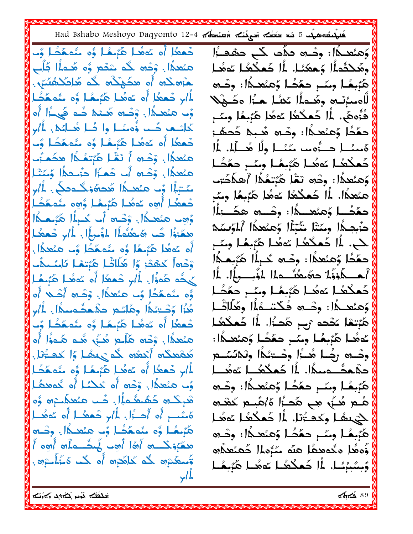Had Bshabo Meshoyo Daqyomto 12-4 ملحلة مَ مَعْبُدُ + Had Bshabo Meshoyo Daqyomto 12-4

تْعَمَدُا أَنْ يُؤْمَلُ تَكْتِيمًا وَنَ يَتَفَعَّطُ وَب هنُعدِّمَا. وْحْمَ حْدْ مْكْمَرْ وْهِ هُـماًا كَلَّب هُرُهِكُمْ أَو مِحَمْلُهُ لَكُمْ مُحَاطَّهُنَيْنِ . لْمَابِ تَعْمَدُا أَهْ عَوْضًا هَبُنُمَا وُه بِنُوجَكُمْ وً عنُعداً. وْحْـه هَــْمْ شُـه فَيْ† أُه كَلّْسُمَّ شَبَّ وُّوسُلُ وا ضُلَّ هُنْكُمْ. لِمُلْيَمْ تْعَمَدُا أَه عَمَٰدًا هَبُنَغُنَا وُهِ مُتَمَعَّطُ وُب هنُعدًا. وْشْهَ أَ تَقْلَ هَٰٓتِمُدًا مِحَمَّت هنُعدُا. وْشْهَ أَبْ شْعِبًا جَرْحِدًا وَسَتْنَا مَنْتَوْلًا وَمَا هَنُعْلَمُ الصَّحْرَةُ وَكَلْمُحَكِّي. لِمَاتِي تَعْمَدُا أَ90 عَامُدا هَزَيْمًا وُ90 بِنَفْخَطَ وُهب هنعدهُا. وَجْده أَبِّ شَدِمًا هَزْيِمِهَا هِمُرْوُّا حُب هُ حَنُدُاْ الرُّجِلُّا. لَأَبِ حُمْحُا أَه عَمَٰدًا هَٰٓبُـمُّا وَّه مُتَمَمِّظُ وَّب هَـُعَدًّا . وْدُواْ كَهْدْ وَا هَٰلَاتْ اهْبَتْسَا تَاسْتِكْ حَدُّه هَدَوْلَ. لَمَا مِ شَعْمَدَ أَوْ عَدْمَا هَزَيْهَا وُّه مُتَمَعُّطُ وًب هنُعَجَّاً. وَقَبْهِ أَقْبُلاً أَه هُٰذَا وَحْـَـٰٓئِكَٰا وِهَٰلِيَـٰعِ حَكَـٰهِحَـٰٓمِـمَكَٰا ﴾ لَمٰ اب تْعَمَّدُا أَه عُمَّدا هُبُـمُـا وُه مُنْهَمَّتُـا وُب هنُعدَٰدًا. وْحْرَه هَٰلَيْعَ هُنَّهُ هُدَه هَدَوُا أَه مُهْمَدْامْ أَحْمَرُه مُدْ وَا كَمِيتُوا . لْمَابِ شَعْعُا أَهْ عَاهُدَ هَٰٓبُهُمَا وَهُ مُتَمَهُّدًا وًب عنْعدَهُ!. وْحْرَه أَه تَعَطْبًا أَه يُحْمَطْ مْرِكْتُهِ خَصَّمْهِ أَلْ خُبِّ مِنْعِلَمِيْهِ وُهِ هَمَّىبِ أَو أَدْ: أَارِ دْهَمْا أَو مُومًا هَٰبُـمُــا وُه مُهَمَّدُ اوُّب هِنُعِــدًا. وَدْهِ هِمَّزْ وَلَكَ مِنْ أَهْلَ أَهْلَ مَكْسَمَلُوهِ أَرْدِهِ } وَمُعَكِّرُهِ لَكُمْ كَاهُدُوهُ أَوْ لَكُمْ وَمُؤَلِّمِيهِمْ.  $\mathcal{Y}^{\prime}$ 

أَوَّعَنُعْكَمَا: وِتَّــهِ صَفَّفَ لَكَــعٍ حَقَقَــ;ُا ومَحْدُدُا وَحِعَنُا. أَا دَحْكَمُا عَوْمًا هَّزْمِهْ) ومِّ حَمَّدُا وَهِنْعِيْدًا: وشَع لْلْعَمَٰزِيْتِ وِهَٰدَاْ كَتَبَا جَزَٰا عَذَٰا لَّكُنَّ فُنُوهَى. لَمْ كَعِنْكُمْ عَوْهُا هَبُبِعُا مِنْبِ حَمَّحًا وَهنُعَـدًا: وَشَــْهَ مَّــبِهْ خَدِهَـ: وَصِيْهِ دِخْوِمِ مَيْهِ وَلَا هُدَلَهِ. لَمْ كمكعُا مُعمُّا هُزَبِهُا مِمَّحِ حَمَّدُا وَعِنْعَدًا: وِدْهِ تَغْلَ هَزَتِمُدًا أَهِدَكَتِب هنُعدًا. أَا حَمْكُعُا عَوْمًا هَٰئِهَا وِسًرِ حَمَّحُــــــــا وَهنُعْــــــــــــــــــــون مَكَـــــزماً ا حَبْجِجًا وِمَتْلَا مُتَبَلًّا وَعِنْعَجًا ٱلْمَوَسَكَمَ لكي. لَمْ الْمَحْكُمُ الْمَعُمَّا هَٰزُمِهَا وَسَٰٓءٍ حَمَّجًا وَهِنُعِدًا: وِحْـهِ كَــرِـاًا هَرَّمِـمَـدًا أَلْمَسْكُوْذُاْ دِهَْتُشْتُدَا الْمُؤْسِنِيْرِاْ. لَمَا كَعَكْفُ عَاهُدَ هَٰزَبِعُدَ مِنْدِ حَعَجُدَ وَهنُعبدًا: وضَــه فُكّتبــهُ/ُا وهُلَلتْبار هَبْتِهَا عَجْجِم جَبِ هَجَزًا. لَمْ جَمْحُكَا عَاهُما هَٰٓبِمُا ومَـَّـ حَمَّصًا وَهنُعِـدًا: وحْده رجُلا هُــزُا وحْــٰزْنُـدًا وتَـٰائِـُـبَــمِ حكَمحُــوممكُل لَه كَمكْمُـــل حَومُـــل هَّبُهُا ومِّ حَمَّدًا وَهِنْعِـدًا: وصْح هُــم هُــَىٰ هِـــ هَـدَٰ: هَ/هَـبـم كَمْــه لحْيْبِيْهَا وِكَفِتُوْلَ. لَمَا كَمِكْتُدا عَوْصًا أَهْبَعُه وسُم حَمَّدُ أَوْهِنُعِيدًا: وَحْدِهِ وَّوهُا وَخُوهِهَا هِنَهِ مَثَوْمَا أَحْمَنُهِمْ وَْمِسْبَبْـٰا. أَا كَعِنْـٰطَا عَاهُـا هَٰبُعُـا

حَدُوْمَة مِرْحَمَدَ مِنْ حَنْفَهُمْ

 $\mathbf{K}$ g $\mathbf{K}$ g $\mathbf{S}$ 9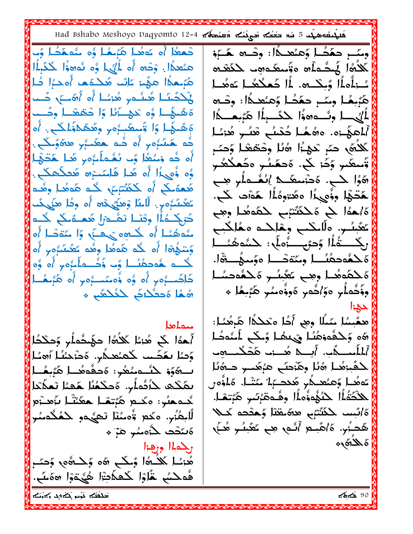Had Bshabo Meshoyo Daqyomto 12-4 xh تَسْتَعْلَمَ بَسْتَ مَنْ 5 مِلْكُمُ بِهِ Had Bshabo Meshoyo Daqyomto 12-4

تْعَمَدُا أَوْ غَوْضًا هُرُجُمًا وُو مُتَوَجِّدًا وُب هنُعدُاً. وْحْمَدُ أَه لَمْ إِلَى أَوْهِ شَمْوَا لَكُثَيْرَاً | هُبْعِدًا عِهْدِ رَأْتُ هُكْمَعَ أُوحِرًا ضُلًّا لْحَصَّىًا هُنْدَمٍ هُزْسًا أَه أَهَٰلَىٰ كَب هُهُدًا وُه تَذِيَّنُا وَا شَقْعَنَا وَشَبَّ ەَهُدَّىٰٓا وَا قُبْعَقْبُوْمِ وَهُهُدُوْۤالِمَـٰ . أُو<br>فُه هُنَّبُومِ أَوْ فُتْ هِعَّنَبُو هُوَّوَّىـٰ . أَه ثُم فِيبُعُل وًب تُعْتَمَلِّئُومِ هَٰذَا حَقَيْهَا وَّهِ وَّعِيدًا أَو هَا فَاسْتِهِ هَدِكُهْكَيْ. هُعَمَّكُمْ أَنْ كَكَتَبْسَ كُلُّهُ هَٰوَهُمَا وَهُدَ مَعْشَرُوبِ. لَاعْلَا وْهِنِّيْخُوهِ أَو وِدًّا هِنِّيِخُب دَّجَكُمُلًا وِتَسْأَ تَمُّدَرَا مَجْمَعَكُمْ كُنْد مُعْصَفُهُ أَو كُلُّوهِ يَحْذَى وَاسْتَوْصًا أَو وَسَوْرَةَا أَنْ لَكُمْ هَمَعُا وَهُمْ عَعَمْتُوْمِ أَنْ كُــد هُدَدِهُنُــا وُب وَّثُــداً زُورٍ أَو وُهِ ا كَاكُنْتُومْ أَوْ وُوَ فُومَنْتَوْوْ أَوْ كُبُنُهُا ا هُمُّا هُحثُّلاَكُمْ لِلْغُلْعَٰبِ \*

مماها أَهدًا ﴾ هُنئا ﴾ اللهُ احهُندُواُ وحَكْدًا وَمِنَا بِمُكَسَبِ لَكَمَنُعَكُمْ. وَجَهْدُمُنَا آهنَا .<br>بەرەۋە باشىمىگىر: ەَجَھُەھُبا ھَزْجِھُبا بِمَكْتِ جَانُدَمُن، وَحَكْمُنَا هَدِيَا تَعَدُّدَا تُدعِمْبُن وَحُدِمٍ هُبْتِهْا جَعَمْتْنَا تَرْهَدْوَمِ لَّابِعُنُنِ. 5كَمْ قُومُنْا نْحَيُّدُو ݣُمُكُومُنِ ەُنىڭك خۇەمئىر تېر م انوره المص هُزئـًا لَمُدُهُا وُحكَّى هُء وُكَـــوُّهِ وُحَــّـرٍ فُمكْتُم خُلُوْا خُعَكُمِّا هُيُّدُوْا هُمَّتَ.

وسًا حَمَّصًا وَهنُعِلْهَا: وِصْلَا هَــُزَة كَلاُهُ الْمُحْمَلُهُ وَتُسطَوهب لَحَكْفَتِهِ سُنِفُواْ وَحْكِسِ. وَٰلَا جَمِكْجُمَا جَوِيمَا هَّبُهُما وَسَّرِ حَمَّحُما وَهِنْعِيمَا: وَحْــِهِ لِمَالِكِ الْمُسْمَرِهِ وَأَسْتَخَذَبِهِ الْمُؤْمِنِ الْمُسَلَّمَا ٱلملهَّـزه. دهُـعُـا حُكْسُب هْنُــو هُزَـُـا لَكُثَىٰ حَبٍّ تَحِيُّوا هُلا وِحْقِقِها وَحِبٍّ وَّسكَسِ وِّكَ; كَلِ. هُڪمَّسُرِ هڪَـمُكَـمُـرِ رَّةُوا لِكَبِ. ةَجْتَمِيعًا لَمْ إِنَّقَاعِلُوا هِبَ هَدَهْا وِوْْمِيمُا مِعْتِوِمُلًا هَمْرُتِ كَبِ. ة/ههْ لِم هَكْتُتْئِبِ كَهُمْعُما وِهِبِ تتئبئس وأاكب وهلاء وهاكب رِكْـــتُمُّاْ وَحَرَّبِـــتُومُّ): حَسَّوهُنَـــا أَهْكَعُدِهُنَـــا ومُتَوْسَـــا هَوَمِمْهُــــرَّةَا. هَكْكُمُعُما وِهِي مُعْبَسُرِ هَكْعُمْصُلًا وِذُهُماُرٖ وَدُاهُورٖ وَوِذُومُبِ هَٰٓبُها ۞ حجزا همَّبسُا مَمْلًا وهِي أَكُل هِ دَهْلاً هَ مُحَمَّلًا: هَ وَحَدْهُوهُمُا وَعَمَدَ الْمُعَامَّةِ مَمَّا أَلْمَلَّمْسِـدَّمْبٍ. أَيْسَـدْ مُنْسَنِّفٍ هَٰتَـكْـسِــرَة لحَقَّبْهُما هُلًا وِهَّرْحَبُ هَزْهُمِ حَدَّهُلًا عَمْدا وَهنُعِدَارٍ مَحْمَدٍّا مَثْداً. مَاؤُهن للْكَثُ*ّداْ الْمَلْ*هُوَذُه*اْ وَهُ*مَقَ*ّئِس هَبْ*تَصْل ةَأْلَبِسَ لَكَنَّتَبَا هِ هَذَا تَقْتَلَ وَحَقْحَهِ كَمِلًا هُدَّ:ُر. هُ/هُبــع آلَـُـع، هِــ مُعَّبِئُـر هُــَ:  $\sqrt{\mathcal{N}}$ 

تحنابهم برءش سهه تنفلخ

مروانهم 60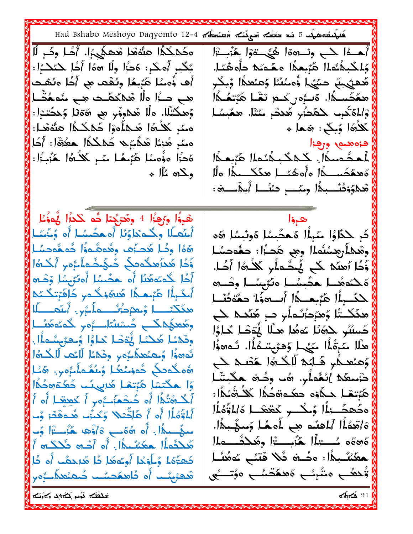Had Bshabo Meshoyo Daqyomto 12-4 مَلْمَتْكُمْ مَسْتَلْمُكُمْ 4-12 Had Bshabo Meshoyo Daqyomto وَحَمْكُمُّا هِتَوْهَا مَعْمَلِيْهِا. أَصَّا وِضَرِ لَّا أَمْـــدًا لَكَـــ وتَــــ30 هُيُـــتَوْا هُنُــــتْزَا بَكَّبِ أُهكُرٍ: هَجُرْا وِلَّا هِهْا أَجُلَّا حَبَكَ إِلَّا وَلِمَحْبِجُفَا هَٰٓبِعِجَا مِعَمَدٌ حَلَّٰہِ شَدَٰلٍ. هَدْيَ بِبُ حِنَّيْهَا وُْمِنْنُنَا وَٰهَنُعَدًا وُبِكُر ﴾ُ فَوَمِنُا هَٰٓبَـِهُا وِنُـقَعَـ هِج ﴾ُحُا ونُـقَـت هب حـزُا هلًا مْمْكَمَـْت هِبِ مُعَمُّضًـا همَّحُسِـدًا. ةَبْرَهِ رَحْـمِ تَشَا هَزَتْمُـدًا ُ وَهِكْتُلًا. ولَّا قَدِهُوْنُو هِي هَوْتَا وَجِحَتَـٰٓءٍا : وْالْمَنَّدِبِ لِكَمَحْبُرِ هَٰذِهِ مَتْأَ. هِمَّسُـل مِمّ كَلُّهُا مْحِلُّووْا حُمْكُمُا هِتُوْهَا: الْمَدُهُ الْجَبْكِ: هَما \* مِمَّرٍ هُزِمًا هَدَّبَ ۖ دَهِكُمَّا حَعَقْوَا: أَجَا اعزه مده وردزا أَهِدَّەبِيدًا. كَهْكَيْدُدَا هَبْهِدًا ةَجَزَا دَوْدَسُا هَٰٓبَـمُـا سَبِ كَلَّـدُّا هَٰٓزَبُّرَا: كَعِدَّمَـــدًا وأُوهَّــا هذَكَـــدًا ولَّا وكلة عْلَا \* ِ هُد*ا*ؤَوْتُسْـبِدُّا ۖ و*منّ*ــــرِ تَنُنُـــا أُبِـدُــــِـةِ : هْبِوًّا وَرُهِّزًا 4 وقتنُكِمَا هُمَ كَكْرًا فُمَوْمًا هبوذا أَعْكَا وِكُوْدَاوُنَا أُوهِشَىنَا أُو وَّغَنَا كَرِ حَكَاوُا مَبْرِلًا هَـعتَبِسُا هُوِئِيسًا هُه هَهُا وِصُلَّا هُدَّزَهَا وِهُدَهُدَوْا شَمْعُوصُنَا وهُداأرمِيسُدُاا وهِي هُدُرًا: حَمُّوَحِسًا وَّكًا هَٰدَاَهكُوكِي شُهُبِشُواً بُورِ أَكْتُوا وَّحَا أَهلَكَ لَمُحَدَّم لَا كُلُّهَ أَحَلَّ أَهُا لَكُمَمُعَمَّلًا أَه حَصَّسًا أَدْتَوَسُلَا وْشَدَّه هَكْمَعُمْـا حَمَّىسُـا مَتَنِهْـا وَصْــَـة أَخَبأَا هَبُعِجًا هَبهَوْجُدِ دَافَتِكُمَه لحدُّ بأَل هَرُبِهِ جَلَّ أَبِ وَذَٰلَ حَمَّوَظُهَا محكَّت للمُحترِدُتُ مأجَرٍ. أَعْمَد الله ِ هَكَكَــْنَا وَهَزَجَٰزُنُـملُـرٍ صَرِ هَٰنَـُـكَــدَ ـكـِي ومُعدَكِكِكُمْ حُسْسُمًا وَمِنْ الْأَوْمَوْهُمَا الْمُسَارَ كَسْتُبِ حَدْثُلَ عَمْدَا هِـلًا يُّوْصًا كُلُوُا وذَهْـُـل هَٰـكْـُـل لْمُـْدَال تَحاوُل وُسعةِـبِنُـملُل. [ هِنَّاا مَمْزَةُ أَا مَيُّى الرَّحْمِينَى مَا أَنْ شَعِرْهُ ا نُووذًا وَحِمْعِكُمْ وَمِ وَشَمْئًا لَّائِكَ لَّاحُدُوا وَهنُعِيمُ وَحَايَكَ لَأَيْحُدُهُ! هَتَعِيمَ حَبِ رە<br>ئۇمگ<mark>ەنگ ئەزى</mark>ئى*غا ۋىلقەلمۇمې*. «*كا* دْمِعكُمُ إِنْغُدَاٰبِ. ۞ وحُـ هَـ هَــُبْشَـا وَا هَتَسْلِمَّتِهَا هَرَبِيِّبَ خَعَةَ وَحَمَّا هَّتِسْا حِكُوْهِ حِعَجَةِجُدًا كَلَّةُ ُجَاءًا: أَكْتُوتُكُمُ أَو حُبْضَعَنُتُ وَمِن أَنْكَفِقِنَا أَو أَنْ 0كَعكَــزلَمَا وُحكَـــو كَعْعَقَـــا 6ْالْمَوْدُاُا أَمْلَوْٰٓ هُٰٓا۟ أَن أَ هَٰٓاتُمۡكُمْ وَجُدِّنَٰٓ هُـٰءَٰقَٰتَہٖ وَّب ةَ/تَعْمُلُا ٱلْمَعْسُم بِهِـ لِمَاهُـا وَسَهَّـبِـدُا. مَدَّكَ اللَّهُ أَنْ رَهُدَّبِ وَأَوْدَى هَزَّاتَهُ وَب هَوَهُ مُسْتَذَا هَزْبِ أَلا وَهُكُمْ هَا مَحْدُوماً مِعَنْتُماً. أَو أَتَّدِهِ مَحْكَمِهِ أَ هَكُنُنُـبِدُا: هَــُــفَ فَلا قَتَبْ مُهَمَّـل كَهَتَوَّا وُلِّلْوَجًا أُوسَّوَهُا دًا هُرَجِعَت أَو دًا وُكْلُبٍ مِشْبِبٍ مُعْكَشَبٍ مُتِسَبُّقِي تْتَحَمِّيْتُ أَنْ ذُاِهِمُجِنَّبَ شُمْنُهِكُمْ وَمِنْ تلناهم بالخطر بمهذ تطفلخ  $\mathcal{R}$ g $\mathcal{R}$  91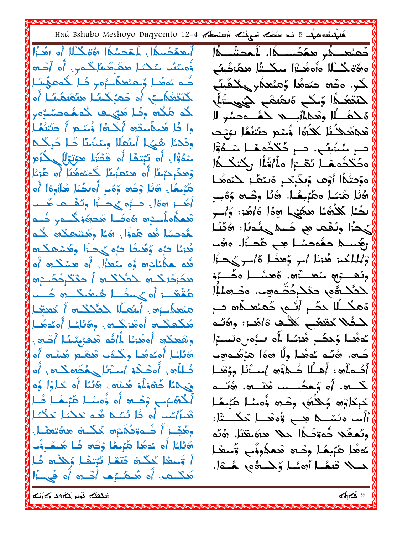Had Bshabo Meshoyo Daqyomto 12-4 xh تَسْتَعْمَ بَسْتَ بَعْدُ بَسْتَ مَعْهُمْ بَسْتَ بِهِ بَسْتَ بِهِ بَسْتِهِ أَعِيْمَ مَسْمًا. لَمْصِيُمًا هُوَ جُلًا أَو اهُهُ ا كَعِنْهِـــدُبِ هِمَّكَـبِــدُّا. لَمِحتَنُــدُّا . وْمِمّْتُ مَكْسًا مِعْرِمُسْلِكُمْرٍ. أَوْ أَصْلَا هِ وَقَدْ الْمَوْسَرَا سَكْسَا هِجَرَجْتَهِ خَد عَمْدًا وُحِمُعِكُمْوُمْ، ذَا كُدْمَهُمًا لْكُنْ وَشَرْهَ حَمَاهُمْ وَعَنْعَكُمْ وَكُنَّفَيْتُ ِ كَتَتَعُكَّلَــَىٰ أَو خَعَزِكَـنَـٰا مِنَعْنِعَـنَـٰا أَو لِمُتَعَدِّمًا وَحَكَّى هَعَمَفَ لِكَبِيِتِيَةً ۖ لَّه هُكُرُه وحُا هُيْهِ الْمُهُوصَيْبُوْمِ وا دُا مُدهَدهُ وَ أَحْدهُ ا وُسَعِرٍ أَ حِتَنفُهُ أَ ْ مْحَاهَدْشُلْ لْمَدْهَٰا ۚ فُسْعِ حَتَّنَعُا بَوْتِت وذْهَا هُبُها أَسَٰهَا وسَنَزْسًا جَا جُرِكُمْ صرِ مُمُزَّمِّبٍ. صرِ كَكْدُهِمْ لِمَنْدَوَّا مْمُوَّا. أَه تَبْتَقَا أَه قَثْتُها مَرَّتَبُّلَ لِكُنَّمَ هَكْخُوهُمَا تَقْدَا هِأَاوَّٰٰٰٓٓٓاْ رِجَّتَكُمَّا وْمِدَٰہِدۡبِیَا اُو مِنۡعَہُنَا گُوجُوَتُنَا اُو هَٰٓزِیَا ۖ أُ وَوَحِتُكُمْ أَوْهَى وَيَكْرِيْهِمْ وَيَتَهَدْ لِكَتَوْهُمْ أَ هَٰبُنِّغَلَ. هَٰلَا وْحْمَدِ وَهُنِي أُوتَحَيْلِ هُدَارُوهَا أَو هُنُا هَٰنُـا مِهَّبِـمُـا. هُنُا وِجْـِهِ وَمَّبِ أَهَد: 50]. دعَ دي حيثًا وتَفْعَد هَمَد ىدًىْل كَلَاهُمْا هكْهَا هِهْا هُاهَٰ: وَٱسو قىملەم ئەن ئەمكىل ئىدۇرىگىمى ئى الْمُكَاهُ : الْأَصْلَى مُصَابِحَةٍ مِنْ حَصَفَهُمْ الْمَحَرَةُ هُوصِبًا هُو هَوَوُل. هَـُمْ وهُسْعِيْدُو كُـو رَهَسِيمَ حَقَّوْصُيَا هِي هَجَزًا. وهُب هُزِيُل دَرْهِ وَهُدِدًا دَرْهِ ﴾حدُّل وهُـتبعكـه وْالْمَلْكُمِنْ هُدْمًا اس وَهْشًا هَاسوِحِ حَدًّا هُد هدُمُاءِهِ وُه مَعْزَا. أو هشكله أو <mark>ورگھ جون مگھ شون، گھنگ او گر</mark>و هدَٰزَدُالِکُ لَاهُلُکُ ﴾ اُ حنْکُرِدُدُوْ ﴾ لَكْتُكُوهُمْ حَثْكُرْخُخُصُومٍ. وَدْرَهِ الْمُ هَقْعْبَ أَهْ يَسْدُلُ هُلْمُنْكُلُ مُسْتَخْرِينَ أَهْمَكْسُلَا هَضَا أَلَيْمٍ هُمْتُعَبَّدُه صَارِ منعكَتِهِ فَيَعْمَلُا حَثَمَكَمْ فَيَحْمَدُ لحَفْلا كَفَقْفَبِ لَلْأَهِ ءَاهَد: وَهُنَه مُكْفِكْ» أُوْمْزِكْلِهِ . وَهُلْكُلْ أُوَجُوهُمْ عُمِّصًا وَحَصَّمٍ هُٰٓزَسًا لَمَا تَوْمٍ مِنْسَمَٓا وهْعِكْلُهِ أُوهُٰزِيُل لِمُرْثُو هُدِءُمِيَّىنَا أَشْرُو . ثــه. هُنّـه عُمُدا ولًا ههُ! هرُهُــهوب هَٰلَٰلًا أُهۡمَٰطًا وِكُمُو هُفۡـُع هُنۡـُـُهٖ أَه صَّالَمِ ﴾ أُوصُكُو إِسْتَرَبَّا بِمُضَوِّكُ وَ أُو أَثُدهاً ω: أُهـلُا دُـكمْؤُن إمسَّرْنُا وِوُهْدا ى كَمَا خَوْمَنْهُو هُنْسٌ وَهُنُا أَو تَعَاوُا وُو لك ه. أَه وُهجَّى مِن قَتْلِهِ. هُنَّت أَخْوَجَے وَجْـو أَو زُوسُـا هَبْـمُـا خُـا كَبِكَاوُهِ وَلِللَّهُ وَحْدِهِ وُمِنُا هَٰٓبِهَا هْدَانِسَتْ أَوْ قُلْ نُسَجْ هُدِهِ تَحْكَيْلُ تَحَكْتُلُ أأمد ونُشَبِهِ هِبِ وَوَهْكِ تَدْتُ ثَلَا: وهُدْبَ أَ شَــهَ وَدُلَمْـرْهِ كَكَــرَهِ هِهَ تَعشَــلَ. وبُعفَلا شُووْحُمُّا حلا هوَمَعْنَا. وَهُ رَّهُ لَاءًا أَو عَوْهُا هَٰٓبُـهُا وْحُرُّهُ خُـا هُـمَـٰٓبِوَّب عَاهُدا هَبُبِهُما وحْـه شَعَذُوفٌب قُسْعْدا أَ وَٰمِعْا كَكُنَّ ثَنْهَا تَبْتَقَا وَلِكُنَّهِ ثَالَ حبلا تَعمُّا أَهْلًا وَحَدِّوَى هُـْهَا. هُكُـم. أَو هُممُــرَم أَتَــره أَو فَيَــزًا

تلناهم بالخطر بابه تلفله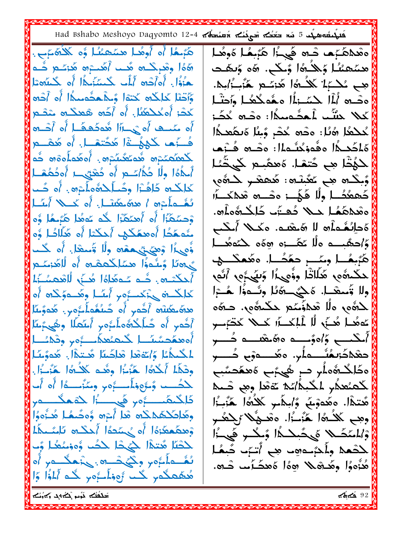Had Bshabo Meshoyo Daqyomto 12-4 ملحظة محنف شحيحة من 5 مله الله بين تعليم المسلم بين المسلم المسلم ال

هَبْـمَا أَه أُوهُـا هنئهئْنا وُه لَلاَهُـبَـبِ. هَهُمْ وَهُرِيْدُ هُــَــّ أَهُدَرْهِ هَٰـَـٰتُمْ شُـه هُزُوْلَ أَوْأَخْرَهِ أَبْلُم كُسْئَرْجَالَ أَو كُنفُوهَا وَٱتْتَلَا كَلِكُمْ كَتَدًا وُحَلَّمْحُدُمِيكَا أَنْ أَحْمَ كَحْزِ أُوكِكْعُبُلْ. أُو أَكُنْ هُعِكْدُ مْخْصَرْ أَه مَنْسِكِ أَهْ يَ اللَّهُ هُدَدُكِكَمَا أَهْ أَحْسِهِ فُــزَم، كَجِخُــةُ وَمَحْتِمْــا فِ أَو مَحْصَــم لَكْمَمْتَكُمْرُو هُوَيْعُمُيْمُونَ أُوهُدِلُوهُ وَ هُو أَحِدُّدًا وِلَٰا حُدًٰائِے (و حُعْنَىٰ) أُوحُڪُمْ) كَلْكُلُو كَلْقُـرْا وَحُـلُكْرُهُ وَلَمْرُو . أَو حُـب ئُمُّےلَّےْ / مِنْ مِنْ مِنْ اللّٰہِ لَٰہٖ کَے اُسَّے وْحِسَٰحَٰٓءَا أَو أَهْتَحَٰٓءَا لَكُمْ عَوْمًا هُرَبِّهُا وُو مِنْدِهَجُا أُومِهَكُمِي أَحِكْتَا أُو مَخْلَاجُا وُو وْمِيدًا وْهِيْجْ مِعْدِهِ وِلْا تَسْعَدْلِ أُهِ كَبْ يُ هِمَّا وُحِنُووُا هِمَا لِكُعِمْ هِ ۚ أَو لَٰاهُ نِمَـٰهِ أَحكتهن شُم سُمَعَاهُ الْهُنَى الْهُمِسُنَا كَالْحَــْ يُوَكِّسُــرُومٍ أَسَّـا وِهَــوَكِّدَه أَو مدەً حكشى أُحُمر أُه حُسُمُه أُجْمِر. مَدوَّسًا أَدُّمِرٍ أَه شَالْحُرْهُمأْجُومٍ أَسْمَلًا وِهُجَيَّسَا أومحكمسًا للمعنداً ومن وذلائها لِلْكُلِّمُمْ وَاعْوَهُمْ هُوَاجُسًا هُتَدَاْلِ. هُوَوَّسًا وثَمَلَكُمُ أَحْدُهُ الْمُؤْمَرُ الْمُؤْمَنُ وَهُدَا الْمُؤْمَرُ الْمُؤْمِنُونَ للصُّــــــــــــ وُحوُّىٰٓ وَأَــــــــوُم وحدَّثَـــــــــهُ! أَن أَبَّـــــ كَالْحُمَّــــــرُّەر فَي ــــزُا حَدْمَكَـــــــور وهَٰاصَٰٓكَهُكُلُو هَٰذَا أَءْ۞ وُوَصَّعُا هُـزُووُا وْهِمْهِعَذِهَا أَمْ يُهْتَمِنَ أَلْمَدْ مَاهُ مَنْ مِنْهِمْ مَاهِمْ لِحْصَّا هُتِمَّا لِحَيْضًا لِحَمَٰبٍ وُوضُعُمَّا وُبِ مأَ بِمِكْمِيْنِ فِي بِمَكْرِكْ بِمَوْسَلَمْ مِنْ أَمِيلَةٍ مِنْ أَمِنْ مِنْ أَمِنْ هُهُمَكُم ۚ كُبُّ رُومُ أَخُومٍ كُنَّهُ أَءُلُوًّا وَٓا

وهْدْهَـٰئِ ۖ شَـْرُهُ فَيَـٰٓزَٰا هَٰٓئِـِهَٰٓ أَوۡهَٰٓدَا ۖ ھىئىھنىل كُلادە قىلى. ھە كىھى هِم مُحْسَبُهُ: كَلاُ هُا هُنسُم هَّنُو ُامِهِ. ودْو أَلْمَا حِيَّ زِلْمَ وَهُوَ حُفْدًا وَرَضْنَا كَمْلَا ۚ حَلْفُ أَحْدُهِ مِجْلًا: هَدْهِ ۚ خُضَرَ لُعْلَاهُا اهْلَا: وَدْهِ لَحْشَرِ وَّبِلًا هَيْقُعْبُدًا هَاجَمِيهُ الْمُفْوَجُنُسُوا الْمَرْجَمِينَ وَالْمُؤْمِنَ لْحُهْثًا هِي حُتْهَا. هُمْهُبِم كَيْخُبَا وُبِكْتُهِ هِمْ يُعْبِيْسُهِ: هُتَصِعْبِ لَحْدُهُ كَهِعُصُــا ولًا فَجُـــز هـْــــرَّة هُجَكَــــرَّة ەقىدەھُل بىلا ئېش خانگىۋەلەن. أَهْجِلِنُعْجِمْهِ لا هُمْعْدِهِ. وكَمِلا أَسْكَبِ وَاحِثَمِـــهِ ولَّا مُحَّـــزه «هَه لِمُحَمَّد ال هَزْبِهُما وَسَمَّ حَمَّدُما. وَهُمَكْمَ بِ مِكْمَةً مِهْلِمَاتِهِ وَوَّى الْمَرْهَةُ وَهُمَا مَنْ مَسْتَمَرَّمَ مِنْ الْمَسْتَمَرَّمَ مِنْ الْم وِلا وَّمِعْداً. هَجَيْ هَمَّا وِئُدَوُّا هُــْرَا لِحَدُّهِ وَلَمْا شَحْدُمُكُمْ حَكْمَةُهِ. حَدَّهُ أَعْمَدًا هُــَىٰ لَّا الْمَكَــــاً، كَـــلا كَتَّرَــــو أىكىب ۆاەۋىسىم ەھىشىسىم ئىسىر حَفَّدْكَّالِعُلُّـــداُرٍ. ٥ݣــــدْوْحِ كُـــــر ەكَلگەۋەلُر ئې ھُيمَّب ەَھكىسَّب كْعَنْعَدُم لْمُكْبِدُّابْتِهْ غَوْقِدْ وَهِي شَيْدً هَٰتِدًا. ٥هُ٥وۡٮَى وُ}بِدَٰٮَٮ ۞هُوَا هَٰٓ;ـُ;ا وهِم لَكُـهُا هَٰٓ;َسُٰٓ;ا. هِ تَعَـهُۢلاَ رَكِـعُـــرِ وْاسْرَهْ بِكُمْ أَمْكِبْكُرْهْ كَكْتَمَاءْ) وَ لحدْهم ولمُحرَّىدود هِي أَتَّبَت حُبِهُا |هُذُووُ| وهُـــهُــلا هوهُ| هَعجَـــرَٰـــ شـــه.

تلنابه بالمتلكم سأم تلفظة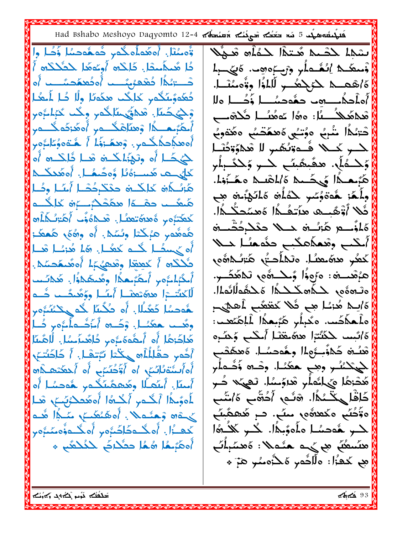Had Bshabo Meshoyo Daqyomto 12-4 xh تَسْتَعْمَ بَسْتَ بَعْدُ بَسْتَ مَعْهُمْ بَسْتَ بِهِ بَسْتَ بِهِ بَسْتِهِ وْْوِمْنْلْ. أُوْهُدَارُوْهُمْ دُوهُوْدِمْا وَكُلّْ وَا بشما لحصَّيه هُتمْ للحَالُه شَجْلًا دًا مُعطَّعةًا. دَاݣُه أُوعَمَط لِحَنْكُم أُ أَوْسِطَةُ إِنَّقْـِهِ إِلَى وَرْبِّءِهِ مِنْ هَائِيَـَـِهِ ِّكْتَ تَرْكَمُّا ضُعْجَمِيْنَــبَ أُوضُعَهُدِيَّــبَ أَو ة/هْڪد كَمْجْعُبِ لِّالْمُوْلُ وِوُُّومُنْسَلُ دُهَّدَوَّمَنُّدَمِ كَلِكْت هِدَّمَنَا وِلًا دُلِّ لَمِعْظ أَهْلُحكُمِـــوم حَقَّوْصِيُـــا وَّحُـــا هَلا وْحْيَحْمَنَا. ۚ قَدْفَيْ مِنَاحَْمِ ۚ وِحْد حُبَاءُوبِ هْدْهُدْ ـٰ لُه: ههُ الْمَهْنُـا ضُدْهْـب أَحَكَبُهِ وَالْمَاهَكُ وَلَا أَوْهَدُهُ وَلَا يَقْوَلُ وَلَا يَقْوَلُ وَلَا يَقْوَلُ َ تَـْتَكُلُّ شُرِبُ ۚ دَوُّتَـُىٰ ۚ هَمَّصَّبُ ۖ دَهُدَّوِبُ أُەمدېكىگىپ. ۋمدەّ زۇلا أَ هُتەەۋكاڭەر لك حُكلاً هُــدَوْنُهُمِ لَا مْدَوَّوْنُهَا لِكَيْضًا أَو وَتَمْثُلُكُ فَقَا ذَٰلِكُ وَالْوَاسُ وَحْــٰمَٰلًا. مَحْمَمْتَــٰ حَــٰـرِ وَحْكَــٰبِلُر كْلُهِــِـِّ مُسْــزەُنُا وُوَصَّـمُــا. أُومُعكــه المفتض ملقلاة مسترغ المسته هَرْسُـكَانَ حُلِكْــنَ حَنْكُـرْحُـثَــل أَمنًـل وحُــل وِلَمَّةِ هُوَوَّسُو كَدُلُّهَ وَلَمْنَهُنَّهُ هِم هُعَب حقْسَهُ مَعْشَدٌ ِ مَنْ كَلِگُ ه ثَلا أَوْهُـــهِ مأتفُــدًا هُمئمَتْــدًا. **َكَعَنْتُومِ وُهِدَهُ تَعْتُلُ**. هُـْـِكُوُفُ أَهَّتْتُـكُلُّلُهِ ەْلمۇسىم ھَزْسُىزى بىسلا جىْلارخْشْسىزە هُمفُمر هُبُكْتَا وِنُسُكَ أُه وَهُمَّ هُعَكَّ: أكسب وشمكهكب حثممتا حللا أَهْ يَسْمُلْ لَكُنْ كَعْصَلْ. هَا هُزْسًا قْبَلْ كَعُدٍ هؤَمَعْتُ!. وَتَمْلُحَتُنِي هَٰـٰٓتِكُ وَهُوَ ثَلَّكُلُّهِ أَ خَضِفَا وَمُحْهَجُهُ أُومُحَمَّدَ . هَزْهْمِــة: هَرُّوذًا وُعِــْــوُّهِ لَـْلَاهُحَــُــنِ. أَحْبَاءُورِ أَحْبَمِهُا وِهُمَعُهُوْلِ هَدَاسَ ەتسەۋەر ككەككىدا ۋىلىقىللىقىل لَّاكَتُنْـــْمِ الْمَدْهَـٰدُــا أَعْـَــا وِوَهُـنفَــب كُـــد ة/بِهِ هُزئا هِي شَلا مُعَقَبِ أَهليَ هُومِنْدَا حَمَّدُا الْمَكْمَا لَّهُ وَكَمَّدَّوْمِ ەلمەكمىس. ەگرلمې ھۇبھەل لماھكىمى وقُعِيد هَقَنْدَا. وْجُدِهِ أَيَرْشُنْهَأْبُرُهِ وَجَدَأَ ة/بُسب للكُتُمُ الحَدَّمَةُ اللَّهُ أَسْكُنَبِ وَجَنَّزِهِ هَادَٰوْمًا أَو أَحْقَوَهُ وُوبِ دُاهُداً مِنْدًا. لَٰاهُمَّا هْنُـة كَـدْ<del>ؤْب</del>ـوْع!! وهُـدَـمُــا. ەَمْھَـْـب أَدُمِ حَقُلِلُهُ مِكْتَا تُبْتِقَا. أَ خَادَتُنَّى لمهكننُــر وهِــع ــمعَنُــا. وتَـــه وَّتَـــملُـر أَه أَستَتَانَّلَيْهِ او أَوَّحُنَّيْهِ أَو أَحصَّتَهِ أَه مَّدْزِهَٰا هَيْ الْمُمَاَّرِ هُدَوِّسْاً. تَعِيَّـٰه حُــر أَسلاً. أَسَّصَلَا وهُدهمَّسَكُم وهُدَسَا أَه صّْتَاهْ حِقّْتُمْ مِصْرَهَا. هَنْكُمْ كَاضّْتِ لَمَوَّىمًا ٱلْحُمْرِ ٱلْحُمُّا ٱُمَعَٰدُكِنَّے ۚ هَـا وَقُطُبُ وَكَعَدَقُورٍ مِنِّي. هـِ هُمَعِيَّبِ كَ ثُمْ مَ مُ مَسْتَمَامٍ مِنْ أَمْ مُعْظَمِ مِنْ مَمْ الْمَسْمَدِ لحَــرِ ـمُّــُصَــُــا مأَمَوَّبِـدًا. ـكــرِ لَكَــٰثَا ا لْكَفّْتُوْلِ. أُمْكَنْدَدْنُولُو مُمْكَنْدُوْمْشَيْرُەن طَاْبِنْسَهُ : مَامَنْعَ مِنْ بِهِ بِنْفُسْنَهُ أُهِكَنِـمًا شُمَّا حثَكْتِكُمْ لْمُلْكَتَبْ \* هِم كَعْزَا: هِلَّاخُورِ هُكْزُومْرِ هَرِّ م

تشابههم للإنكش بمقفى المتفقفة

 $\mathbf{K}$ آباد که $\mathbf{K}$